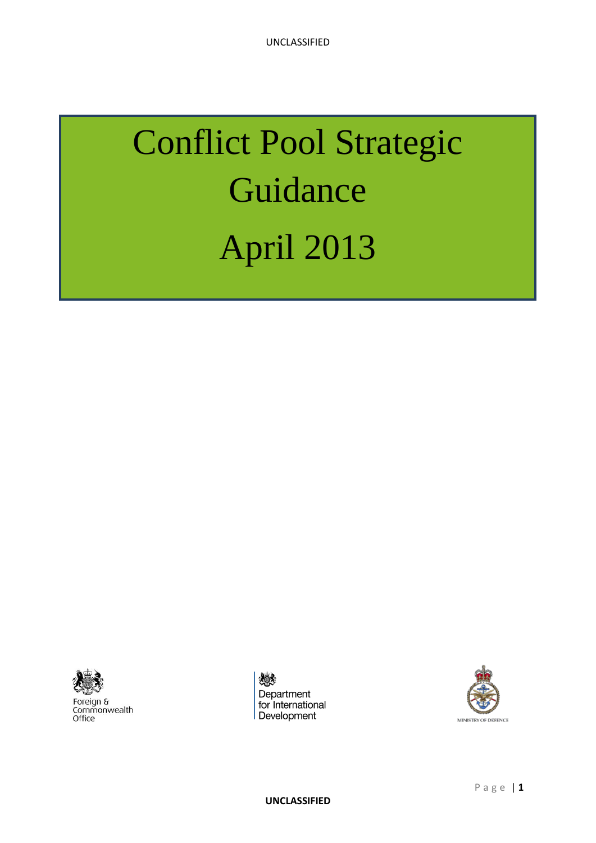# Conflict Pool Strategic Guidance April 2013



Foreign &<br>Commonwealth<br>Office

《 Department for International Development

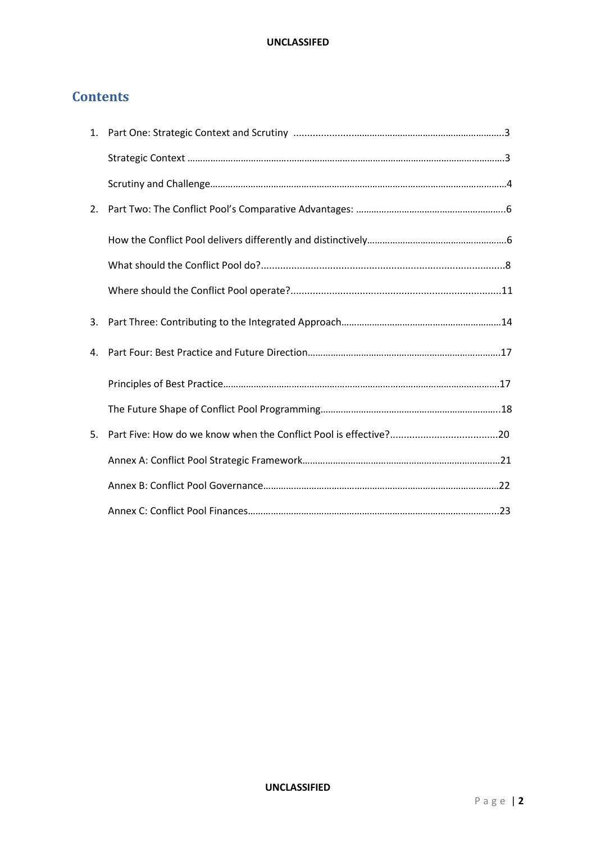# **Contents**

| 3. |  |
|----|--|
| 4. |  |
|    |  |
|    |  |
| 5. |  |
|    |  |
|    |  |
|    |  |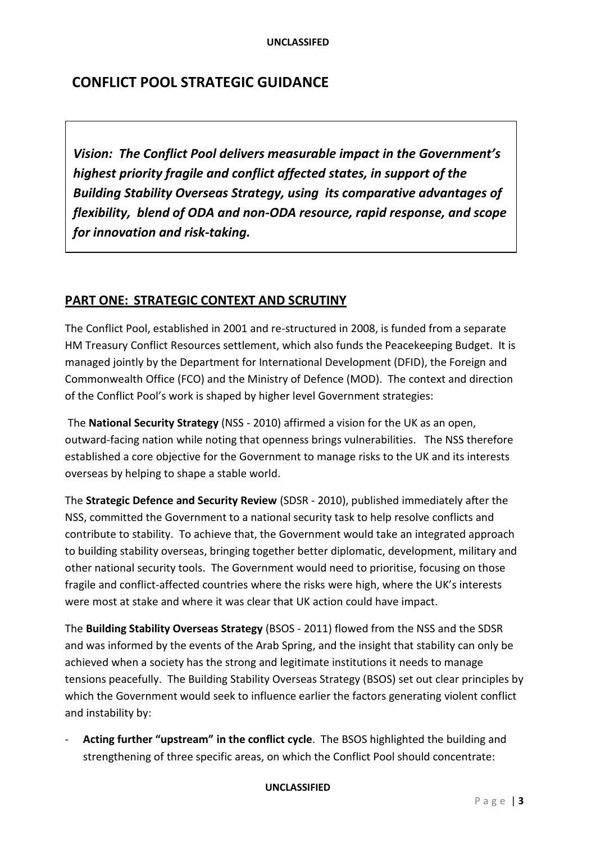# **CONFLICT POOL STRATEGIC GUIDANCE**

*Vision: The Conflict Pool delivers measurable impact in the Government's highest priority fragile and conflict affected states, in support of the Building Stability Overseas Strategy, using its comparative advantages of flexibility, blend of ODA and non-ODA resource, rapid response, and scope for innovation and risk-taking.*

# **PART ONE: STRATEGIC CONTEXT AND SCRUTINY**

The Conflict Pool, established in 2001 and re-structured in 2008, is funded from a separate HM Treasury Conflict Resources settlement, which also funds the Peacekeeping Budget. It is managed jointly by the Department for International Development (DFID), the Foreign and Commonwealth Office (FCO) and the Ministry of Defence (MOD). The context and direction of the Conflict Pool's work is shaped by higher level Government strategies:

The **National Security Strategy** (NSS - 2010) affirmed a vision for the UK as an open, outward-facing nation while noting that openness brings vulnerabilities. The NSS therefore established a core objective for the Government to manage risks to the UK and its interests overseas by helping to shape a stable world.

The **Strategic Defence and Security Review** (SDSR - 2010), published immediately after the NSS, committed the Government to a national security task to help resolve conflicts and contribute to stability. To achieve that, the Government would take an integrated approach to building stability overseas, bringing together better diplomatic, development, military and other national security tools. The Government would need to prioritise, focusing on those fragile and conflict-affected countries where the risks were high, where the UK's interests were most at stake and where it was clear that UK action could have impact.

The **Building Stability Overseas Strategy** (BSOS - 2011) flowed from the NSS and the SDSR and was informed by the events of the Arab Spring, and the insight that stability can only be achieved when a society has the strong and legitimate institutions it needs to manage tensions peacefully. The Building Stability Overseas Strategy (BSOS) set out clear principles by which the Government would seek to influence earlier the factors generating violent conflict and instability by:

- **Acting further "upstream" in the conflict cycle**. The BSOS highlighted the building and strengthening of three specific areas, on which the Conflict Pool should concentrate: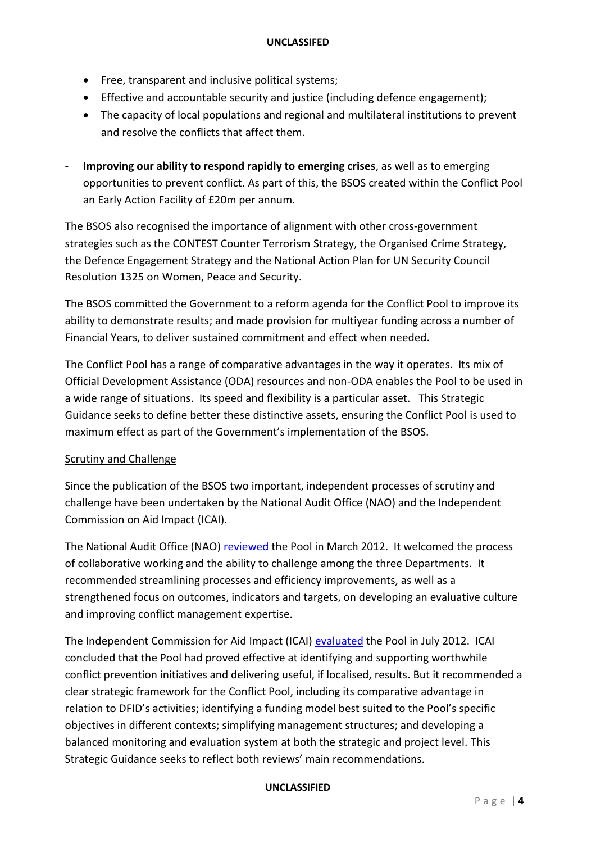- Free, transparent and inclusive political systems;
- Effective and accountable security and justice (including defence engagement);
- The capacity of local populations and regional and multilateral institutions to prevent and resolve the conflicts that affect them.
- **Improving our ability to respond rapidly to emerging crises**, as well as to emerging opportunities to prevent conflict. As part of this, the BSOS created within the Conflict Pool an Early Action Facility of £20m per annum.

The BSOS also recognised the importance of alignment with other cross-government strategies such as the CONTEST Counter Terrorism Strategy, the Organised Crime Strategy, the Defence Engagement Strategy and the National Action Plan for UN Security Council Resolution 1325 on Women, Peace and Security.

The BSOS committed the Government to a reform agenda for the Conflict Pool to improve its ability to demonstrate results; and made provision for multiyear funding across a number of Financial Years, to deliver sustained commitment and effect when needed.

The Conflict Pool has a range of comparative advantages in the way it operates. Its mix of Official Development Assistance (ODA) resources and non-ODA enables the Pool to be used in a wide range of situations. Its speed and flexibility is a particular asset. This Strategic Guidance seeks to define better these distinctive assets, ensuring the Conflict Pool is used to maximum effect as part of the Government's implementation of the BSOS.

## Scrutiny and Challenge

Since the publication of the BSOS two important, independent processes of scrutiny and challenge have been undertaken by the National Audit Office (NAO) and the Independent Commission on Aid Impact (ICAI).

The National Audit Office (NAO) [reviewed](http://www.nao.org.uk/report/review-of-the-conflict-pool/) the Pool in March 2012. It welcomed the process of collaborative working and the ability to challenge among the three Departments. It recommended streamlining processes and efficiency improvements, as well as a strengthened focus on outcomes, indicators and targets, on developing an evaluative culture and improving conflict management expertise.

The Independent Commission for Aid Impact (ICAI) [evaluated](http://icai.independent.gov.uk/2012/07/13/icai-reports-on-the-conflict-pool-and-asian-development-bank/) the Pool in July 2012. ICAI concluded that the Pool had proved effective at identifying and supporting worthwhile conflict prevention initiatives and delivering useful, if localised, results. But it recommended a clear strategic framework for the Conflict Pool, including its comparative advantage in relation to DFID's activities; identifying a funding model best suited to the Pool's specific objectives in different contexts; simplifying management structures; and developing a balanced monitoring and evaluation system at both the strategic and project level. This Strategic Guidance seeks to reflect both reviews' main recommendations.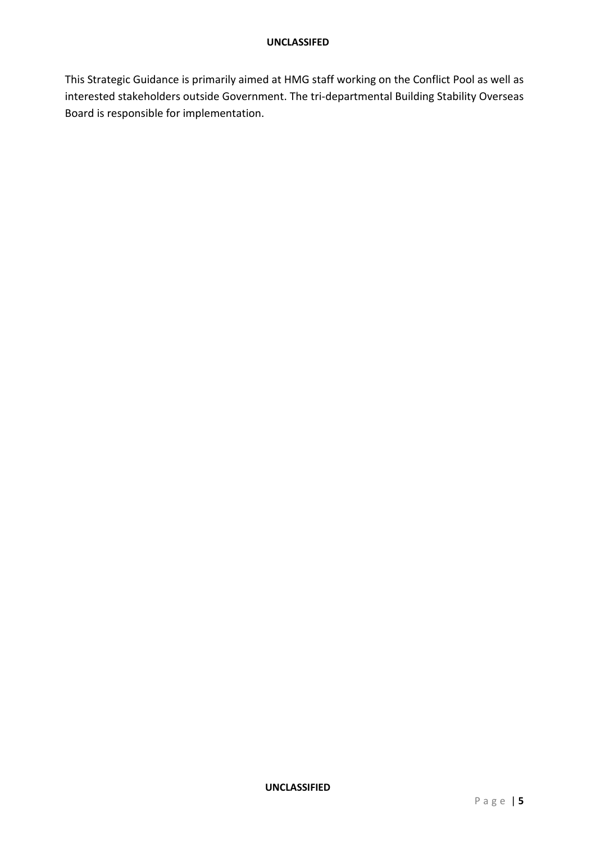This Strategic Guidance is primarily aimed at HMG staff working on the Conflict Pool as well as interested stakeholders outside Government. The tri-departmental Building Stability Overseas Board is responsible for implementation.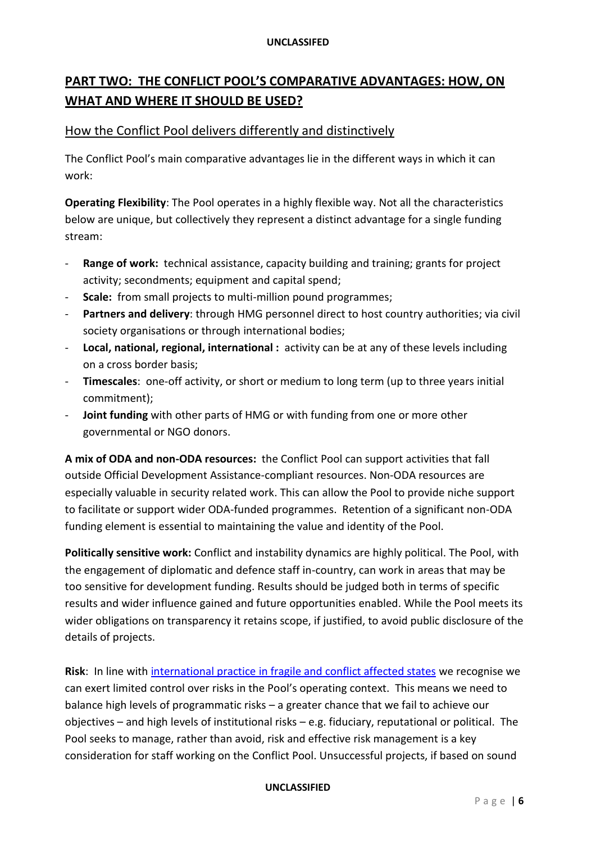# **PART TWO: THE CONFLICT POOL'S COMPARATIVE ADVANTAGES: HOW, ON WHAT AND WHERE IT SHOULD BE USED?**

# How the Conflict Pool delivers differently and distinctively

The Conflict Pool's main comparative advantages lie in the different ways in which it can work:

**Operating Flexibility**: The Pool operates in a highly flexible way. Not all the characteristics below are unique, but collectively they represent a distinct advantage for a single funding stream:

- **Range of work:** technical assistance, capacity building and training; grants for project activity; secondments; equipment and capital spend;
- **Scale:** from small projects to multi-million pound programmes;
- Partners and delivery: through HMG personnel direct to host country authorities; via civil society organisations or through international bodies;
- **Local, national, regional, international :** activity can be at any of these levels including on a cross border basis;
- **Timescales**: one-off activity, or short or medium to long term (up to three years initial commitment);
- **Joint funding** with other parts of HMG or with funding from one or more other governmental or NGO donors.

**A mix of ODA and non-ODA resources:** the Conflict Pool can support activities that fall outside Official Development Assistance-compliant resources. Non-ODA resources are especially valuable in security related work. This can allow the Pool to provide niche support to facilitate or support wider ODA-funded programmes. Retention of a significant non-ODA funding element is essential to maintaining the value and identity of the Pool.

**Politically sensitive work:** Conflict and instability dynamics are highly political. The Pool, with the engagement of diplomatic and defence staff in-country, can work in areas that may be too sensitive for development funding. Results should be judged both in terms of specific results and wider influence gained and future opportunities enabled. While the Pool meets its wider obligations on transparency it retains scope, if justified, to avoid public disclosure of the details of projects.

**Risk**: In line wit[h international practice in fragile and conflict affected states](http://www.oecd.org/development/incaf/managingrisksinfragileandtransitionalcontextsthepriceofsuccess.htm) we recognise we can exert limited control over risks in the Pool's operating context. This means we need to balance high levels of programmatic risks – a greater chance that we fail to achieve our objectives – and high levels of institutional risks – e.g. fiduciary, reputational or political. The Pool seeks to manage, rather than avoid, risk and effective risk management is a key consideration for staff working on the Conflict Pool. Unsuccessful projects, if based on sound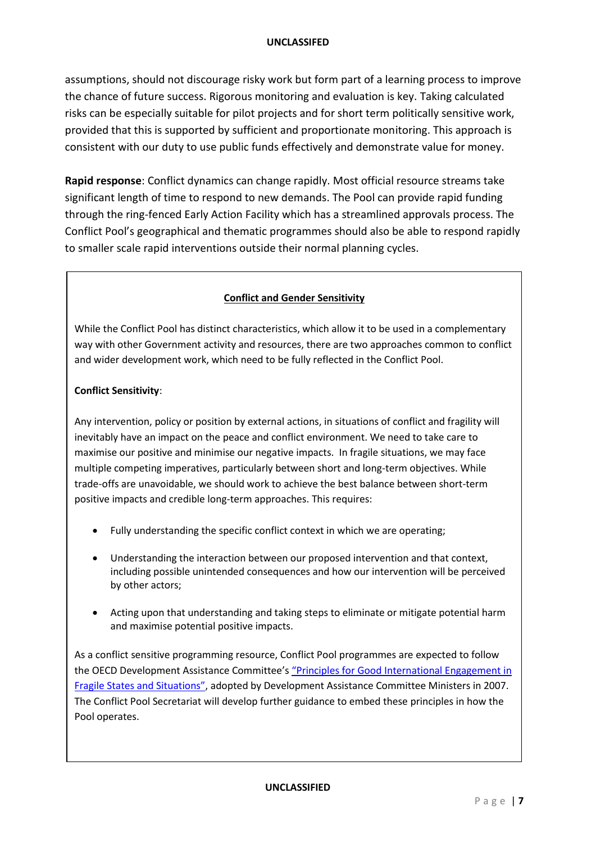assumptions, should not discourage risky work but form part of a learning process to improve the chance of future success. Rigorous monitoring and evaluation is key. Taking calculated risks can be especially suitable for pilot projects and for short term politically sensitive work, provided that this is supported by sufficient and proportionate monitoring. This approach is consistent with our duty to use public funds effectively and demonstrate value for money.

**Rapid response**: Conflict dynamics can change rapidly. Most official resource streams take significant length of time to respond to new demands. The Pool can provide rapid funding through the ring-fenced Early Action Facility which has a streamlined approvals process. The Conflict Pool's geographical and thematic programmes should also be able to respond rapidly to smaller scale rapid interventions outside their normal planning cycles.

#### **Conflict and Gender Sensitivity**

While the Conflict Pool has distinct characteristics, which allow it to be used in a complementary way with other Government activity and resources, there are two approaches common to conflict and wider development work, which need to be fully reflected in the Conflict Pool.

#### **Conflict Sensitivity**:

Any intervention, policy or position by external actions, in situations of conflict and fragility will inevitably have an impact on the peace and conflict environment. We need to take care to maximise our positive and minimise our negative impacts. In fragile situations, we may face multiple competing imperatives, particularly between short and long-term objectives. While trade-offs are unavoidable, we should work to achieve the best balance between short-term positive impacts and credible long-term approaches. This requires:

- Fully understanding the specific conflict context in which we are operating;
- Understanding the interaction between our proposed intervention and that context, including possible unintended consequences and how our intervention will be perceived by other actors;
- Acting upon that understanding and taking steps to eliminate or mitigate potential harm and maximise potential positive impacts.

As a conflict sensitive programming resource, Conflict Pool programmes are expected to follow the OECD Development Assistance Committee's ["Principles for Good International Engagement in](http://www.oecd.org/development/incaf/38368714.pdf)  [Fragile States and Situations"](http://www.oecd.org/development/incaf/38368714.pdf), adopted by Development Assistance Committee Ministers in 2007. The Conflict Pool Secretariat will develop further guidance to embed these principles in how the Pool operates.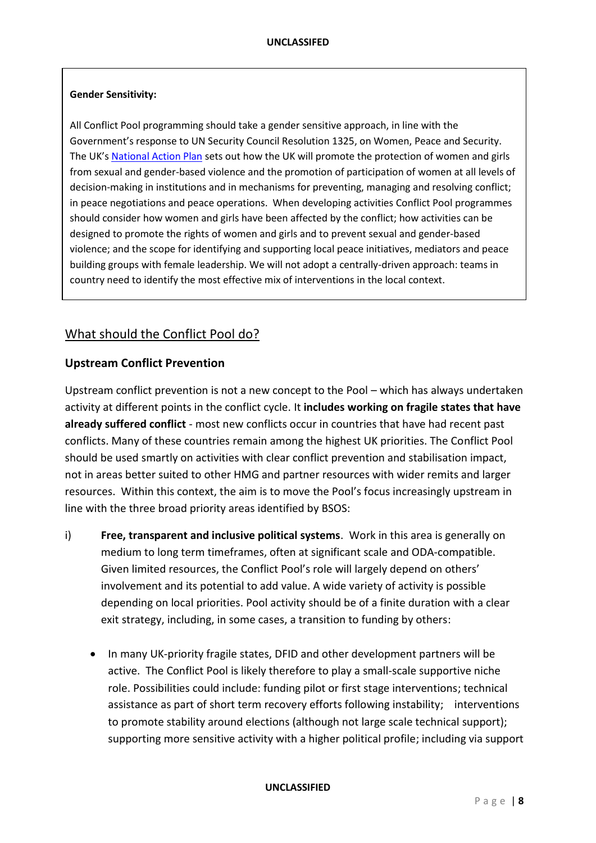#### **Gender Sensitivity:**

All Conflict Pool programming should take a gender sensitive approach, in line with the Government's response to UN Security Council Resolution 1325, on Women, Peace and Security. The UK's [National Action Plan](http://www.peacewomen.org/assets/file/NationalActionPlans/unitedkingdom_nationalactionplan_feb2012revised.pdf) sets out how the UK will promote the protection of women and girls from sexual and gender-based violence and the promotion of participation of women at all levels of decision-making in institutions and in mechanisms for preventing, managing and resolving conflict; in peace negotiations and peace operations. When developing activities Conflict Pool programmes should consider how women and girls have been affected by the conflict; how activities can be designed to promote the rights of women and girls and to prevent sexual and gender-based violence; and the scope for identifying and supporting local peace initiatives, mediators and peace building groups with female leadership. We will not adopt a centrally-driven approach: teams in country need to identify the most effective mix of interventions in the local context.

# What should the Conflict Pool do?

## **Upstream Conflict Prevention**

Upstream conflict prevention is not a new concept to the Pool – which has always undertaken activity at different points in the conflict cycle. It **includes working on fragile states that have already suffered conflict** - most new conflicts occur in countries that have had recent past conflicts. Many of these countries remain among the highest UK priorities. The Conflict Pool should be used smartly on activities with clear conflict prevention and stabilisation impact, not in areas better suited to other HMG and partner resources with wider remits and larger resources. Within this context, the aim is to move the Pool's focus increasingly upstream in line with the three broad priority areas identified by BSOS:

- i) **Free, transparent and inclusive political systems**. Work in this area is generally on medium to long term timeframes, often at significant scale and ODA-compatible. Given limited resources, the Conflict Pool's role will largely depend on others' involvement and its potential to add value. A wide variety of activity is possible depending on local priorities. Pool activity should be of a finite duration with a clear exit strategy, including, in some cases, a transition to funding by others:
	- In many UK-priority fragile states, DFID and other development partners will be active. The Conflict Pool is likely therefore to play a small-scale supportive niche role. Possibilities could include: funding pilot or first stage interventions; technical assistance as part of short term recovery efforts following instability; interventions to promote stability around elections (although not large scale technical support); supporting more sensitive activity with a higher political profile; including via support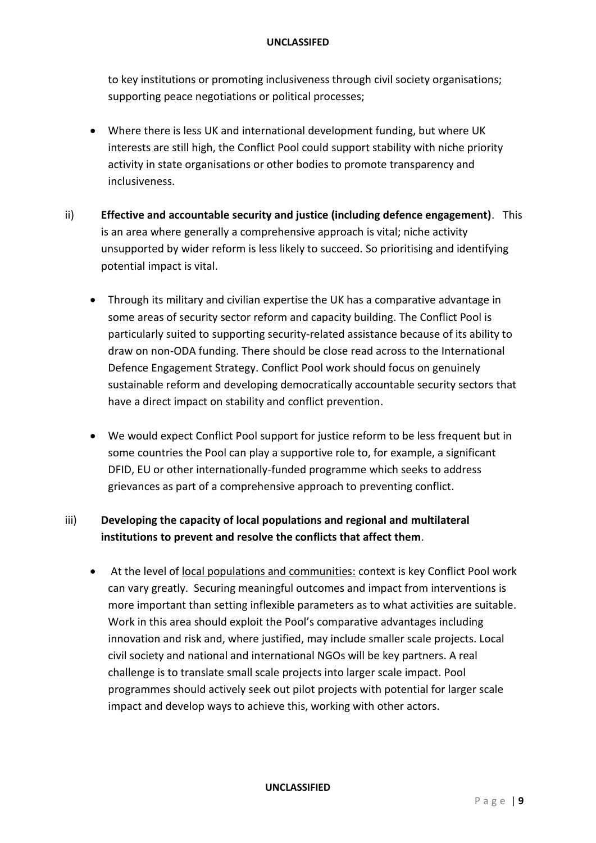to key institutions or promoting inclusiveness through civil society organisations; supporting peace negotiations or political processes;

- Where there is less UK and international development funding, but where UK interests are still high, the Conflict Pool could support stability with niche priority activity in state organisations or other bodies to promote transparency and inclusiveness.
- ii) **Effective and accountable security and justice (including defence engagement)**. This is an area where generally a comprehensive approach is vital; niche activity unsupported by wider reform is less likely to succeed. So prioritising and identifying potential impact is vital.
	- Through its military and civilian expertise the UK has a comparative advantage in some areas of security sector reform and capacity building. The Conflict Pool is particularly suited to supporting security-related assistance because of its ability to draw on non-ODA funding. There should be close read across to the International Defence Engagement Strategy. Conflict Pool work should focus on genuinely sustainable reform and developing democratically accountable security sectors that have a direct impact on stability and conflict prevention.
	- We would expect Conflict Pool support for justice reform to be less frequent but in some countries the Pool can play a supportive role to, for example, a significant DFID, EU or other internationally-funded programme which seeks to address grievances as part of a comprehensive approach to preventing conflict.

# iii) **Developing the capacity of local populations and regional and multilateral institutions to prevent and resolve the conflicts that affect them**.

 At the level of local populations and communities: context is key Conflict Pool work can vary greatly. Securing meaningful outcomes and impact from interventions is more important than setting inflexible parameters as to what activities are suitable. Work in this area should exploit the Pool's comparative advantages including innovation and risk and, where justified, may include smaller scale projects. Local civil society and national and international NGOs will be key partners. A real challenge is to translate small scale projects into larger scale impact. Pool programmes should actively seek out pilot projects with potential for larger scale impact and develop ways to achieve this, working with other actors.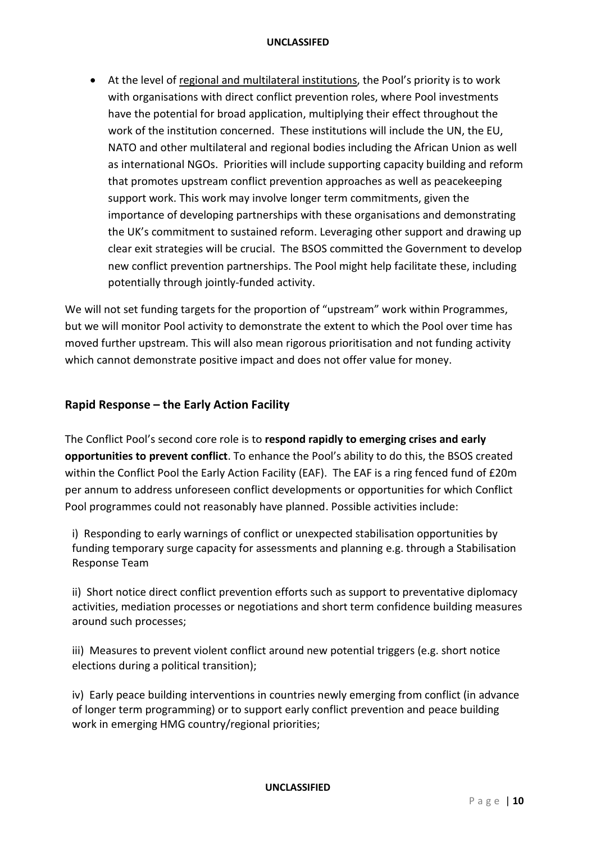At the level of regional and multilateral institutions, the Pool's priority is to work with organisations with direct conflict prevention roles, where Pool investments have the potential for broad application, multiplying their effect throughout the work of the institution concerned. These institutions will include the UN, the EU, NATO and other multilateral and regional bodies including the African Union as well as international NGOs. Priorities will include supporting capacity building and reform that promotes upstream conflict prevention approaches as well as peacekeeping support work. This work may involve longer term commitments, given the importance of developing partnerships with these organisations and demonstrating the UK's commitment to sustained reform. Leveraging other support and drawing up clear exit strategies will be crucial. The BSOS committed the Government to develop new conflict prevention partnerships. The Pool might help facilitate these, including potentially through jointly-funded activity.

We will not set funding targets for the proportion of "upstream" work within Programmes, but we will monitor Pool activity to demonstrate the extent to which the Pool over time has moved further upstream. This will also mean rigorous prioritisation and not funding activity which cannot demonstrate positive impact and does not offer value for money.

# **Rapid Response – the Early Action Facility**

The Conflict Pool's second core role is to **respond rapidly to emerging crises and early opportunities to prevent conflict**. To enhance the Pool's ability to do this, the BSOS created within the Conflict Pool the Early Action Facility (EAF). The EAF is a ring fenced fund of £20m per annum to address unforeseen conflict developments or opportunities for which Conflict Pool programmes could not reasonably have planned. Possible activities include:

i) Responding to early warnings of conflict or unexpected stabilisation opportunities by funding temporary surge capacity for assessments and planning e.g. through a Stabilisation Response Team

ii) Short notice direct conflict prevention efforts such as support to preventative diplomacy activities, mediation processes or negotiations and short term confidence building measures around such processes;

iii) Measures to prevent violent conflict around new potential triggers (e.g. short notice elections during a political transition);

iv) Early peace building interventions in countries newly emerging from conflict (in advance of longer term programming) or to support early conflict prevention and peace building work in emerging HMG country/regional priorities;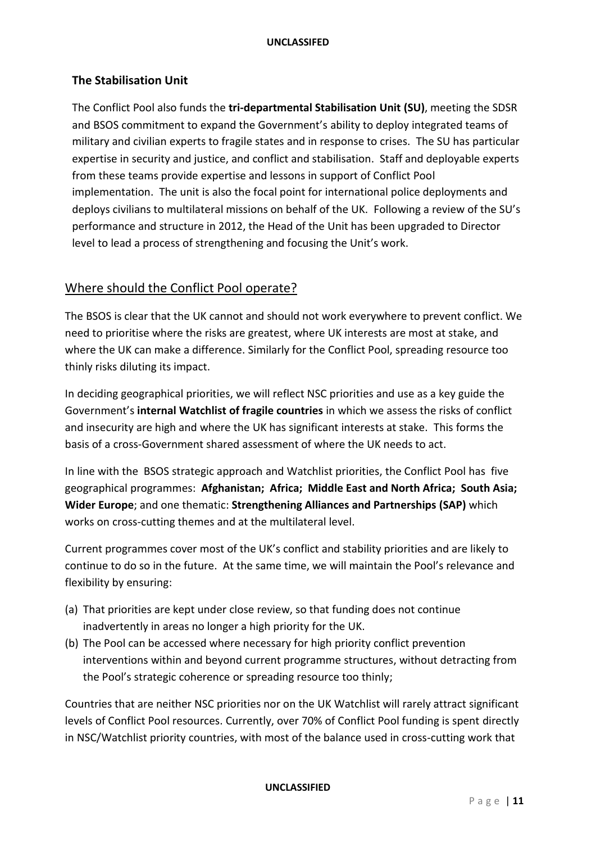## **The Stabilisation Unit**

The Conflict Pool also funds the **tri-departmental Stabilisation Unit (SU)**, meeting the SDSR and BSOS commitment to expand the Government's ability to deploy integrated teams of military and civilian experts to fragile states and in response to crises. The SU has particular expertise in security and justice, and conflict and stabilisation. Staff and deployable experts from these teams provide expertise and lessons in support of Conflict Pool implementation. The unit is also the focal point for international police deployments and deploys civilians to multilateral missions on behalf of the UK. Following a review of the SU's performance and structure in 2012, the Head of the Unit has been upgraded to Director level to lead a process of strengthening and focusing the Unit's work.

# Where should the Conflict Pool operate?

The BSOS is clear that the UK cannot and should not work everywhere to prevent conflict. We need to prioritise where the risks are greatest, where UK interests are most at stake, and where the UK can make a difference. Similarly for the Conflict Pool, spreading resource too thinly risks diluting its impact.

In deciding geographical priorities, we will reflect NSC priorities and use as a key guide the Government's **internal Watchlist of fragile countries** in which we assess the risks of conflict and insecurity are high and where the UK has significant interests at stake. This forms the basis of a cross-Government shared assessment of where the UK needs to act.

In line with the BSOS strategic approach and Watchlist priorities, the Conflict Pool has five geographical programmes: **Afghanistan; Africa; Middle East and North Africa; South Asia; Wider Europe**; and one thematic: **Strengthening Alliances and Partnerships (SAP)** which works on cross-cutting themes and at the multilateral level.

Current programmes cover most of the UK's conflict and stability priorities and are likely to continue to do so in the future. At the same time, we will maintain the Pool's relevance and flexibility by ensuring:

- (a) That priorities are kept under close review, so that funding does not continue inadvertently in areas no longer a high priority for the UK.
- (b) The Pool can be accessed where necessary for high priority conflict prevention interventions within and beyond current programme structures, without detracting from the Pool's strategic coherence or spreading resource too thinly;

Countries that are neither NSC priorities nor on the UK Watchlist will rarely attract significant levels of Conflict Pool resources. Currently, over 70% of Conflict Pool funding is spent directly in NSC/Watchlist priority countries, with most of the balance used in cross-cutting work that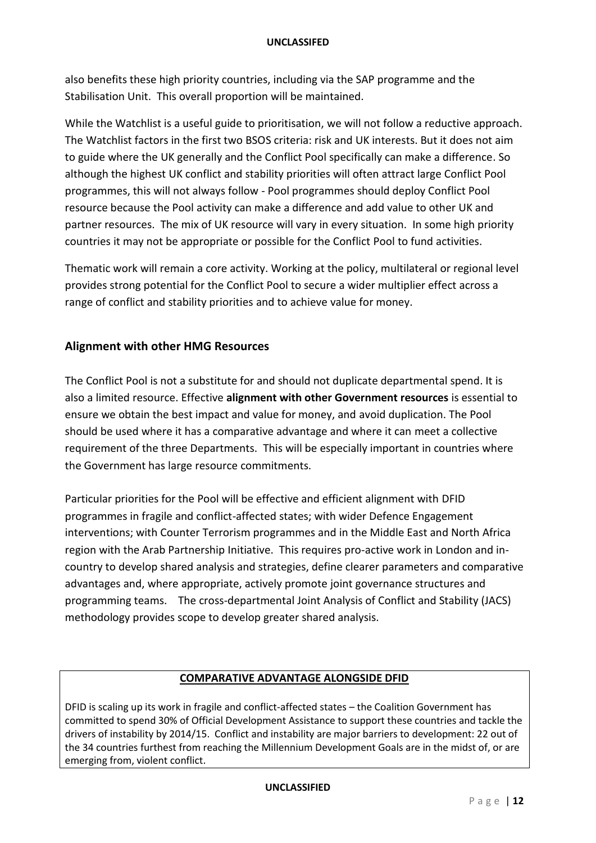also benefits these high priority countries, including via the SAP programme and the Stabilisation Unit. This overall proportion will be maintained.

While the Watchlist is a useful guide to prioritisation, we will not follow a reductive approach. The Watchlist factors in the first two BSOS criteria: risk and UK interests. But it does not aim to guide where the UK generally and the Conflict Pool specifically can make a difference. So although the highest UK conflict and stability priorities will often attract large Conflict Pool programmes, this will not always follow - Pool programmes should deploy Conflict Pool resource because the Pool activity can make a difference and add value to other UK and partner resources. The mix of UK resource will vary in every situation. In some high priority countries it may not be appropriate or possible for the Conflict Pool to fund activities.

Thematic work will remain a core activity. Working at the policy, multilateral or regional level provides strong potential for the Conflict Pool to secure a wider multiplier effect across a range of conflict and stability priorities and to achieve value for money.

# **Alignment with other HMG Resources**

The Conflict Pool is not a substitute for and should not duplicate departmental spend. It is also a limited resource. Effective **alignment with other Government resources** is essential to ensure we obtain the best impact and value for money, and avoid duplication. The Pool should be used where it has a comparative advantage and where it can meet a collective requirement of the three Departments. This will be especially important in countries where the Government has large resource commitments.

Particular priorities for the Pool will be effective and efficient alignment with DFID programmes in fragile and conflict-affected states; with wider Defence Engagement interventions; with Counter Terrorism programmes and in the Middle East and North Africa region with the Arab Partnership Initiative. This requires pro-active work in London and incountry to develop shared analysis and strategies, define clearer parameters and comparative advantages and, where appropriate, actively promote joint governance structures and programming teams. The cross-departmental Joint Analysis of Conflict and Stability (JACS) methodology provides scope to develop greater shared analysis.

## **COMPARATIVE ADVANTAGE ALONGSIDE DFID**

DFID is scaling up its work in fragile and conflict-affected states – the Coalition Government has committed to spend 30% of Official Development Assistance to support these countries and tackle the drivers of instability by 2014/15. Conflict and instability are major barriers to development: 22 out of the 34 countries furthest from reaching the Millennium Development Goals are in the midst of, or are emerging from, violent conflict.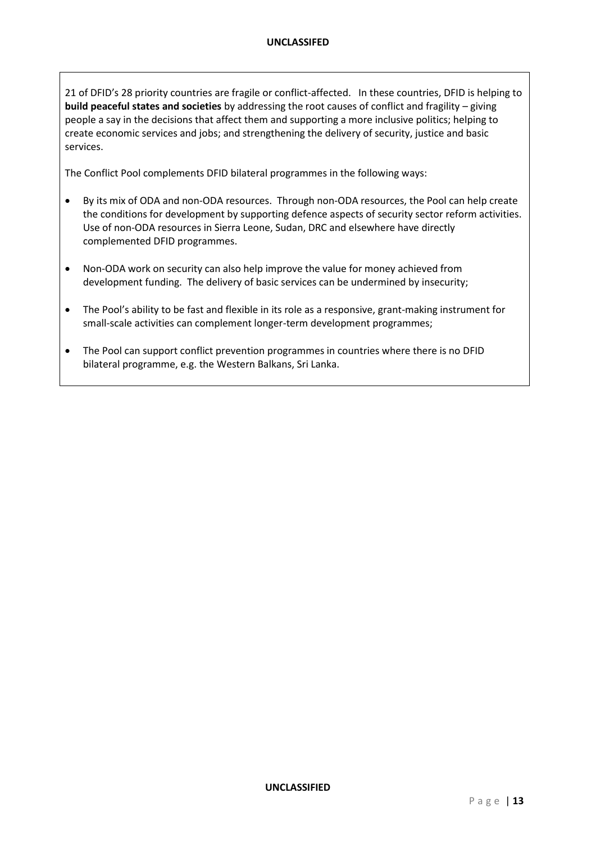21 of DFID's 28 priority countries are fragile or conflict-affected. In these countries, DFID is helping to **build peaceful states and societies** by addressing the root causes of conflict and fragility – giving people a say in the decisions that affect them and supporting a more inclusive politics; helping to create economic services and jobs; and strengthening the delivery of security, justice and basic services.

The Conflict Pool complements DFID bilateral programmes in the following ways:

- By its mix of ODA and non-ODA resources. Through non-ODA resources, the Pool can help create the conditions for development by supporting defence aspects of security sector reform activities. Use of non-ODA resources in Sierra Leone, Sudan, DRC and elsewhere have directly complemented DFID programmes.
- Non-ODA work on security can also help improve the value for money achieved from development funding. The delivery of basic services can be undermined by insecurity;
- The Pool's ability to be fast and flexible in its role as a responsive, grant-making instrument for small-scale activities can complement longer-term development programmes;
- The Pool can support conflict prevention programmes in countries where there is no DFID bilateral programme, e.g. the Western Balkans, Sri Lanka.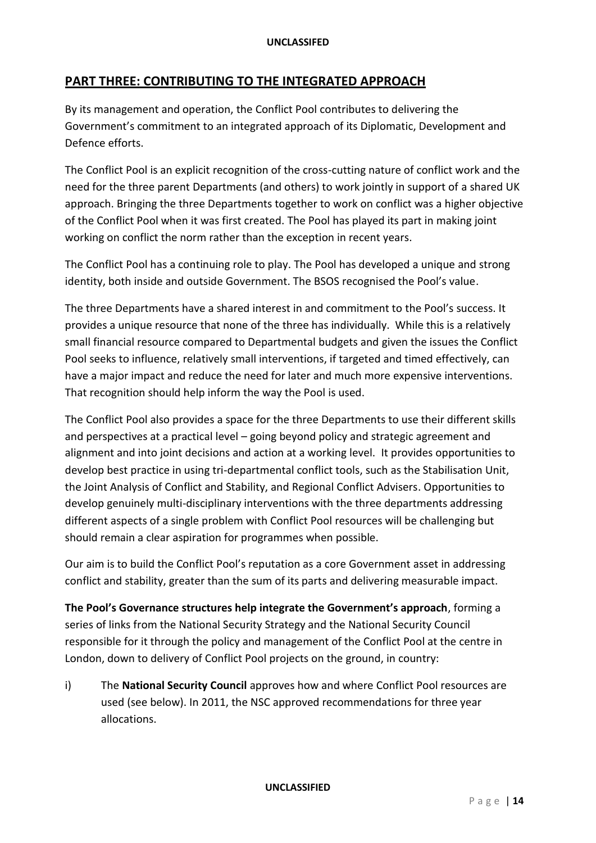# **PART THREE: CONTRIBUTING TO THE INTEGRATED APPROACH**

By its management and operation, the Conflict Pool contributes to delivering the Government's commitment to an integrated approach of its Diplomatic, Development and Defence efforts.

The Conflict Pool is an explicit recognition of the cross-cutting nature of conflict work and the need for the three parent Departments (and others) to work jointly in support of a shared UK approach. Bringing the three Departments together to work on conflict was a higher objective of the Conflict Pool when it was first created. The Pool has played its part in making joint working on conflict the norm rather than the exception in recent years.

The Conflict Pool has a continuing role to play. The Pool has developed a unique and strong identity, both inside and outside Government. The BSOS recognised the Pool's value.

The three Departments have a shared interest in and commitment to the Pool's success. It provides a unique resource that none of the three has individually. While this is a relatively small financial resource compared to Departmental budgets and given the issues the Conflict Pool seeks to influence, relatively small interventions, if targeted and timed effectively, can have a major impact and reduce the need for later and much more expensive interventions. That recognition should help inform the way the Pool is used.

The Conflict Pool also provides a space for the three Departments to use their different skills and perspectives at a practical level – going beyond policy and strategic agreement and alignment and into joint decisions and action at a working level. It provides opportunities to develop best practice in using tri-departmental conflict tools, such as the Stabilisation Unit, the Joint Analysis of Conflict and Stability, and Regional Conflict Advisers. Opportunities to develop genuinely multi-disciplinary interventions with the three departments addressing different aspects of a single problem with Conflict Pool resources will be challenging but should remain a clear aspiration for programmes when possible.

Our aim is to build the Conflict Pool's reputation as a core Government asset in addressing conflict and stability, greater than the sum of its parts and delivering measurable impact.

**The Pool's Governance structures help integrate the Government's approach**, forming a series of links from the National Security Strategy and the National Security Council responsible for it through the policy and management of the Conflict Pool at the centre in London, down to delivery of Conflict Pool projects on the ground, in country:

i) The **National Security Council** approves how and where Conflict Pool resources are used (see below). In 2011, the NSC approved recommendations for three year allocations.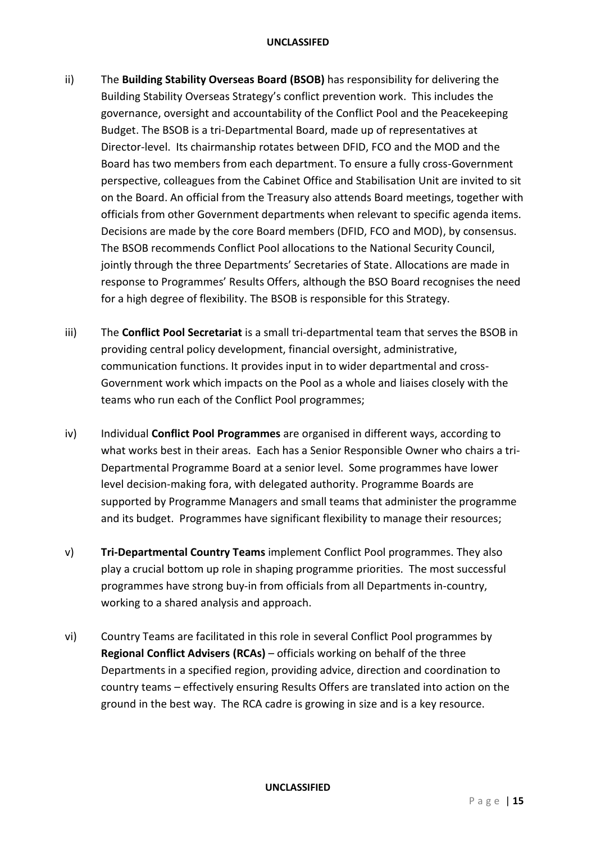- ii) The **Building Stability Overseas Board (BSOB)** has responsibility for delivering the Building Stability Overseas Strategy's conflict prevention work. This includes the governance, oversight and accountability of the Conflict Pool and the Peacekeeping Budget. The BSOB is a tri-Departmental Board, made up of representatives at Director-level. Its chairmanship rotates between DFID, FCO and the MOD and the Board has two members from each department. To ensure a fully cross-Government perspective, colleagues from the Cabinet Office and Stabilisation Unit are invited to sit on the Board. An official from the Treasury also attends Board meetings, together with officials from other Government departments when relevant to specific agenda items. Decisions are made by the core Board members (DFID, FCO and MOD), by consensus. The BSOB recommends Conflict Pool allocations to the National Security Council, jointly through the three Departments' Secretaries of State. Allocations are made in response to Programmes' Results Offers, although the BSO Board recognises the need for a high degree of flexibility. The BSOB is responsible for this Strategy.
- iii) The **Conflict Pool Secretariat** is a small tri-departmental team that serves the BSOB in providing central policy development, financial oversight, administrative, communication functions. It provides input in to wider departmental and cross-Government work which impacts on the Pool as a whole and liaises closely with the teams who run each of the Conflict Pool programmes;
- iv) Individual **Conflict Pool Programmes** are organised in different ways, according to what works best in their areas. Each has a Senior Responsible Owner who chairs a tri-Departmental Programme Board at a senior level. Some programmes have lower level decision-making fora, with delegated authority. Programme Boards are supported by Programme Managers and small teams that administer the programme and its budget. Programmes have significant flexibility to manage their resources;
- v) **Tri-Departmental Country Teams** implement Conflict Pool programmes. They also play a crucial bottom up role in shaping programme priorities. The most successful programmes have strong buy-in from officials from all Departments in-country, working to a shared analysis and approach.
- vi) Country Teams are facilitated in this role in several Conflict Pool programmes by **Regional Conflict Advisers (RCAs)** – officials working on behalf of the three Departments in a specified region, providing advice, direction and coordination to country teams – effectively ensuring Results Offers are translated into action on the ground in the best way. The RCA cadre is growing in size and is a key resource.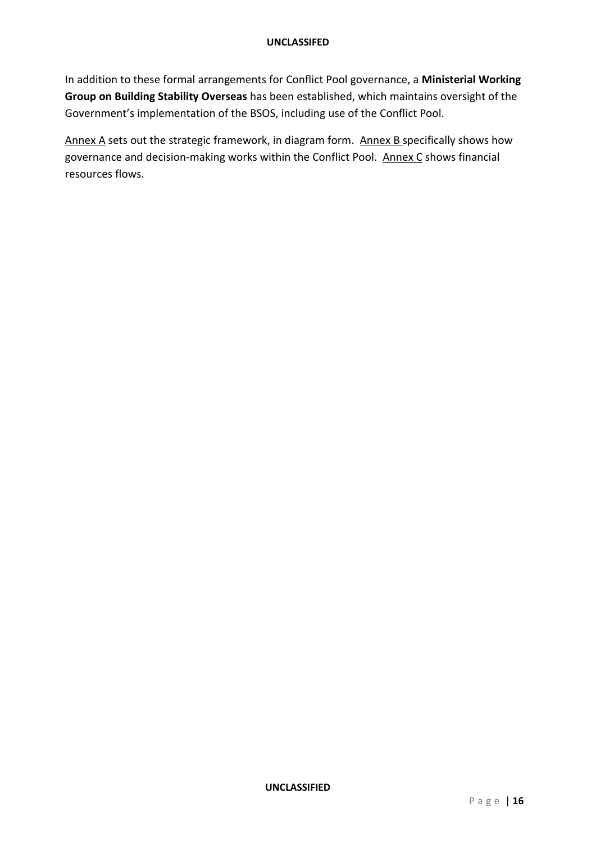In addition to these formal arrangements for Conflict Pool governance, a **Ministerial Working Group on Building Stability Overseas** has been established, which maintains oversight of the Government's implementation of the BSOS, including use of the Conflict Pool.

Annex A sets out the strategic framework, in diagram form. Annex B specifically shows how governance and decision-making works within the Conflict Pool. Annex C shows financial resources flows.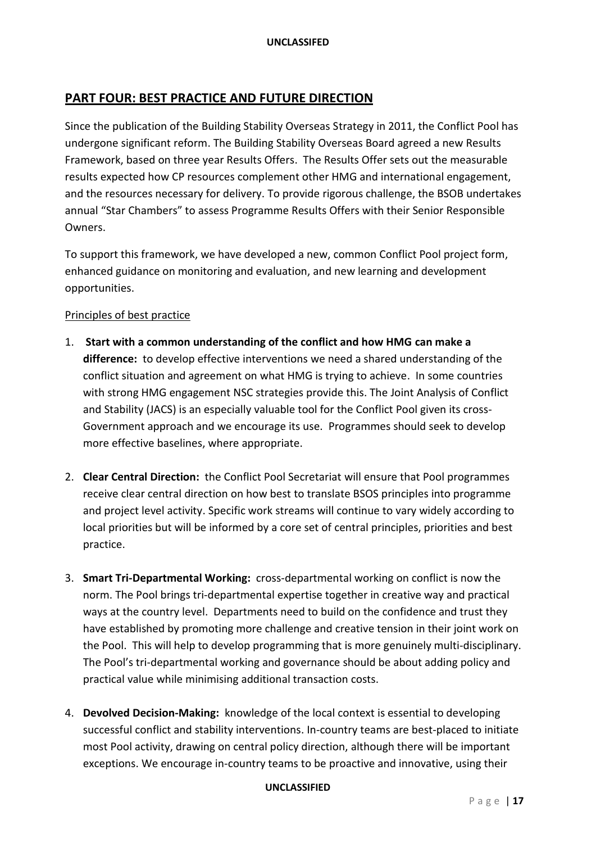# **PART FOUR: BEST PRACTICE AND FUTURE DIRECTION**

Since the publication of the Building Stability Overseas Strategy in 2011, the Conflict Pool has undergone significant reform. The Building Stability Overseas Board agreed a new Results Framework, based on three year Results Offers. The Results Offer sets out the measurable results expected how CP resources complement other HMG and international engagement, and the resources necessary for delivery. To provide rigorous challenge, the BSOB undertakes annual "Star Chambers" to assess Programme Results Offers with their Senior Responsible Owners.

To support this framework, we have developed a new, common Conflict Pool project form, enhanced guidance on monitoring and evaluation, and new learning and development opportunities.

## Principles of best practice

- 1. **Start with a common understanding of the conflict and how HMG can make a difference:** to develop effective interventions we need a shared understanding of the conflict situation and agreement on what HMG is trying to achieve. In some countries with strong HMG engagement NSC strategies provide this. The Joint Analysis of Conflict and Stability (JACS) is an especially valuable tool for the Conflict Pool given its cross-Government approach and we encourage its use. Programmes should seek to develop more effective baselines, where appropriate.
- 2. **Clear Central Direction:** the Conflict Pool Secretariat will ensure that Pool programmes receive clear central direction on how best to translate BSOS principles into programme and project level activity. Specific work streams will continue to vary widely according to local priorities but will be informed by a core set of central principles, priorities and best practice.
- 3. **Smart Tri-Departmental Working:** cross-departmental working on conflict is now the norm. The Pool brings tri-departmental expertise together in creative way and practical ways at the country level. Departments need to build on the confidence and trust they have established by promoting more challenge and creative tension in their joint work on the Pool. This will help to develop programming that is more genuinely multi-disciplinary. The Pool's tri-departmental working and governance should be about adding policy and practical value while minimising additional transaction costs.
- 4. **Devolved Decision-Making:** knowledge of the local context is essential to developing successful conflict and stability interventions. In-country teams are best-placed to initiate most Pool activity, drawing on central policy direction, although there will be important exceptions. We encourage in-country teams to be proactive and innovative, using their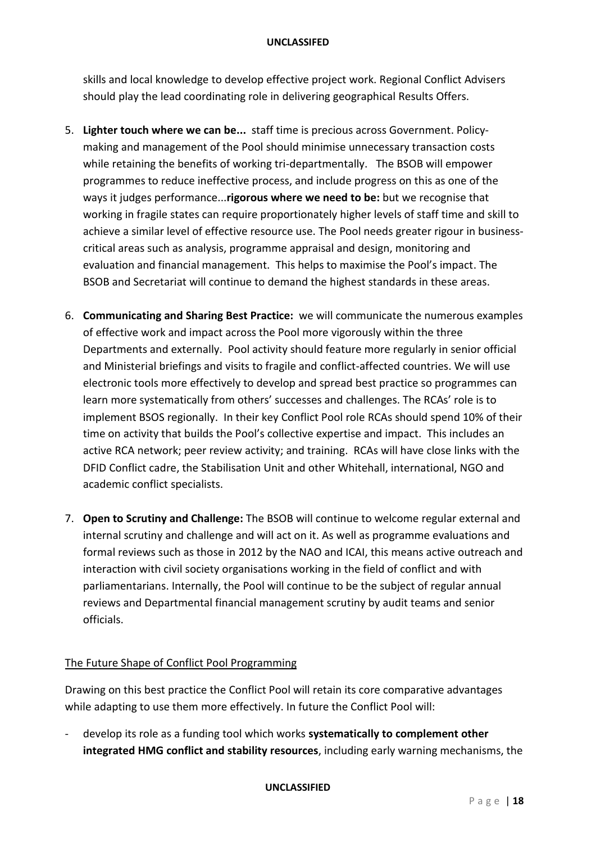skills and local knowledge to develop effective project work. Regional Conflict Advisers should play the lead coordinating role in delivering geographical Results Offers.

- 5. **Lighter touch where we can be...** staff time is precious across Government. Policymaking and management of the Pool should minimise unnecessary transaction costs while retaining the benefits of working tri-departmentally. The BSOB will empower programmes to reduce ineffective process, and include progress on this as one of the ways it judges performance...**rigorous where we need to be:** but we recognise that working in fragile states can require proportionately higher levels of staff time and skill to achieve a similar level of effective resource use. The Pool needs greater rigour in businesscritical areas such as analysis, programme appraisal and design, monitoring and evaluation and financial management. This helps to maximise the Pool's impact. The BSOB and Secretariat will continue to demand the highest standards in these areas.
- 6. **Communicating and Sharing Best Practice:** we will communicate the numerous examples of effective work and impact across the Pool more vigorously within the three Departments and externally. Pool activity should feature more regularly in senior official and Ministerial briefings and visits to fragile and conflict-affected countries. We will use electronic tools more effectively to develop and spread best practice so programmes can learn more systematically from others' successes and challenges. The RCAs' role is to implement BSOS regionally. In their key Conflict Pool role RCAs should spend 10% of their time on activity that builds the Pool's collective expertise and impact. This includes an active RCA network; peer review activity; and training. RCAs will have close links with the DFID Conflict cadre, the Stabilisation Unit and other Whitehall, international, NGO and academic conflict specialists.
- 7. **Open to Scrutiny and Challenge:** The BSOB will continue to welcome regular external and internal scrutiny and challenge and will act on it. As well as programme evaluations and formal reviews such as those in 2012 by the NAO and ICAI, this means active outreach and interaction with civil society organisations working in the field of conflict and with parliamentarians. Internally, the Pool will continue to be the subject of regular annual reviews and Departmental financial management scrutiny by audit teams and senior officials.

## The Future Shape of Conflict Pool Programming

Drawing on this best practice the Conflict Pool will retain its core comparative advantages while adapting to use them more effectively. In future the Conflict Pool will:

- develop its role as a funding tool which works **systematically to complement other integrated HMG conflict and stability resources**, including early warning mechanisms, the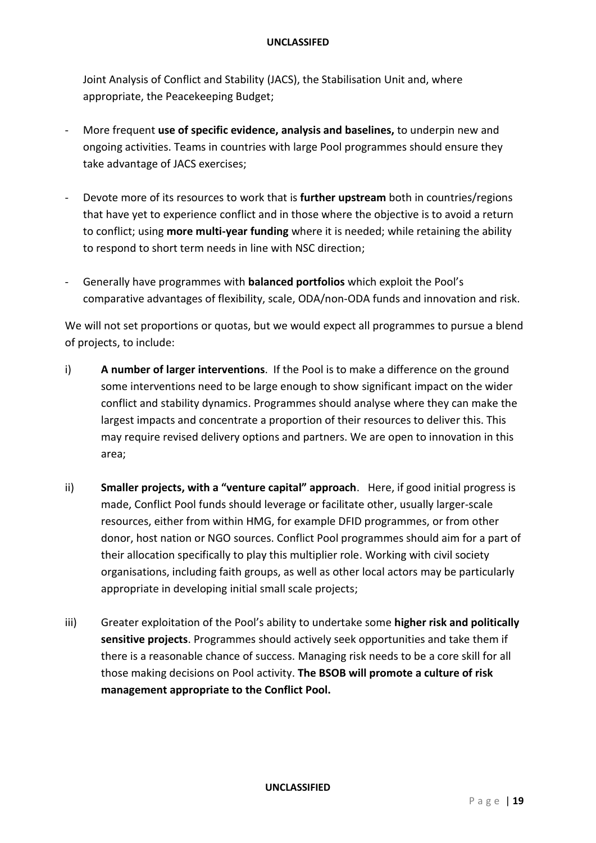Joint Analysis of Conflict and Stability (JACS), the Stabilisation Unit and, where appropriate, the Peacekeeping Budget;

- More frequent **use of specific evidence, analysis and baselines,** to underpin new and ongoing activities. Teams in countries with large Pool programmes should ensure they take advantage of JACS exercises;
- Devote more of its resources to work that is **further upstream** both in countries/regions that have yet to experience conflict and in those where the objective is to avoid a return to conflict; using **more multi-year funding** where it is needed; while retaining the ability to respond to short term needs in line with NSC direction;
- Generally have programmes with **balanced portfolios** which exploit the Pool's comparative advantages of flexibility, scale, ODA/non-ODA funds and innovation and risk.

We will not set proportions or quotas, but we would expect all programmes to pursue a blend of projects, to include:

- i) **A number of larger interventions**. If the Pool is to make a difference on the ground some interventions need to be large enough to show significant impact on the wider conflict and stability dynamics. Programmes should analyse where they can make the largest impacts and concentrate a proportion of their resources to deliver this. This may require revised delivery options and partners. We are open to innovation in this area;
- ii) **Smaller projects, with a "venture capital" approach**. Here, if good initial progress is made, Conflict Pool funds should leverage or facilitate other, usually larger-scale resources, either from within HMG, for example DFID programmes, or from other donor, host nation or NGO sources. Conflict Pool programmes should aim for a part of their allocation specifically to play this multiplier role. Working with civil society organisations, including faith groups, as well as other local actors may be particularly appropriate in developing initial small scale projects;
- iii) Greater exploitation of the Pool's ability to undertake some **higher risk and politically sensitive projects**. Programmes should actively seek opportunities and take them if there is a reasonable chance of success. Managing risk needs to be a core skill for all those making decisions on Pool activity. **The BSOB will promote a culture of risk management appropriate to the Conflict Pool.**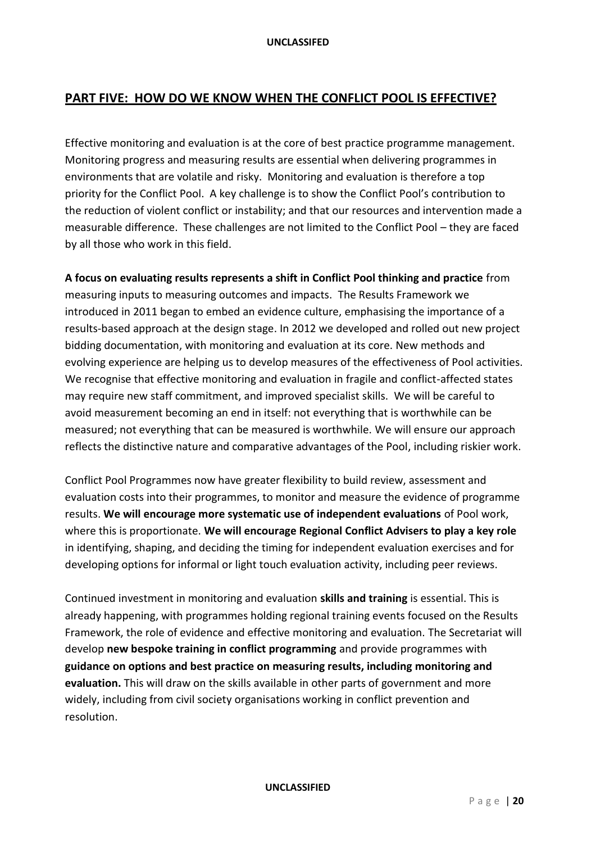# **PART FIVE: HOW DO WE KNOW WHEN THE CONFLICT POOL IS EFFECTIVE?**

Effective monitoring and evaluation is at the core of best practice programme management. Monitoring progress and measuring results are essential when delivering programmes in environments that are volatile and risky. Monitoring and evaluation is therefore a top priority for the Conflict Pool. A key challenge is to show the Conflict Pool's contribution to the reduction of violent conflict or instability; and that our resources and intervention made a measurable difference. These challenges are not limited to the Conflict Pool – they are faced by all those who work in this field.

**A focus on evaluating results represents a shift in Conflict Pool thinking and practice** from measuring inputs to measuring outcomes and impacts. The Results Framework we introduced in 2011 began to embed an evidence culture, emphasising the importance of a results-based approach at the design stage. In 2012 we developed and rolled out new project bidding documentation, with monitoring and evaluation at its core. New methods and evolving experience are helping us to develop measures of the effectiveness of Pool activities. We recognise that effective monitoring and evaluation in fragile and conflict-affected states may require new staff commitment, and improved specialist skills. We will be careful to avoid measurement becoming an end in itself: not everything that is worthwhile can be measured; not everything that can be measured is worthwhile. We will ensure our approach reflects the distinctive nature and comparative advantages of the Pool, including riskier work.

Conflict Pool Programmes now have greater flexibility to build review, assessment and evaluation costs into their programmes, to monitor and measure the evidence of programme results. **We will encourage more systematic use of independent evaluations** of Pool work, where this is proportionate. **We will encourage Regional Conflict Advisers to play a key role**  in identifying, shaping, and deciding the timing for independent evaluation exercises and for developing options for informal or light touch evaluation activity, including peer reviews.

Continued investment in monitoring and evaluation **skills and training** is essential. This is already happening, with programmes holding regional training events focused on the Results Framework, the role of evidence and effective monitoring and evaluation. The Secretariat will develop **new bespoke training in conflict programming** and provide programmes with **guidance on options and best practice on measuring results, including monitoring and evaluation.** This will draw on the skills available in other parts of government and more widely, including from civil society organisations working in conflict prevention and resolution.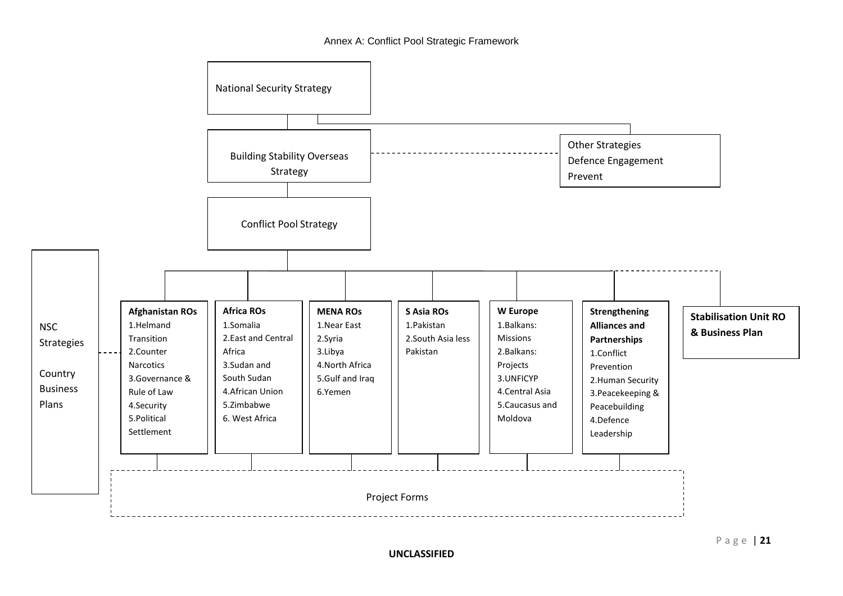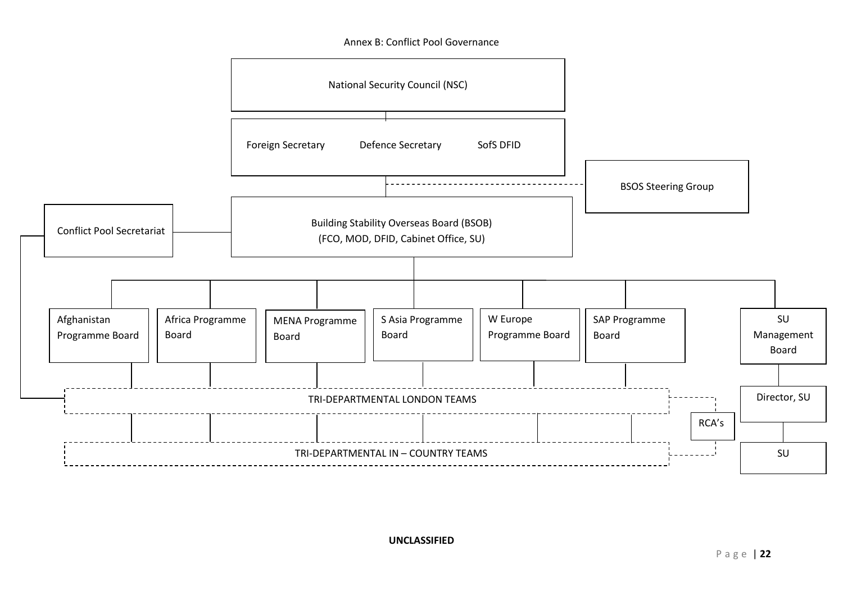Annex B: Conflict Pool Governance